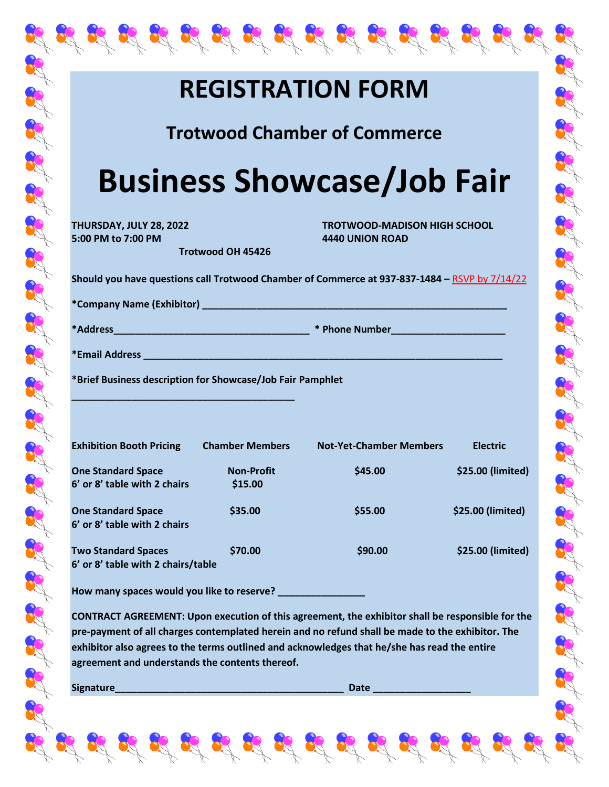## **REGISTRATION FORM**

奥奥奥奥奥奥奥奥奥奥奥奥奥奥

**Trotwood Chamber of Commerce**

## **Business Showcase/Job Fair**

**5:00 PM to 7:00 PM 4440 UNION ROAD**

**THURSDAY, JULY 28, 2022 TROTWOOD-MADISON HIGH SCHOOL**

the set of the state of the state of the state of the state of the state

**Should you have questions call Trotwood Chamber of Commerce at 937-837-1484 –** RSVP by 7/14/22

**\*Company Name (Exhibitor) \_\_\_\_\_\_\_\_\_\_\_\_\_\_\_\_\_\_\_\_\_\_\_\_\_\_\_\_\_\_\_\_\_\_\_\_\_\_\_\_\_\_\_\_\_\_\_\_\_\_\_\_\_\_\_\_**

**\*Address\_\_\_\_\_\_\_\_\_\_\_\_\_\_\_\_\_\_\_\_\_\_\_\_\_\_\_\_\_\_\_\_\_\_\_\_ \* Phone Number\_\_\_\_\_\_\_\_\_\_\_\_\_\_\_\_\_\_\_\_\_**

**\*Email Address \_\_\_\_\_\_\_\_\_\_\_\_\_\_\_\_\_\_\_\_\_\_\_\_\_\_\_\_\_\_\_\_\_\_\_\_\_\_\_\_\_\_\_\_\_\_\_\_\_\_\_\_\_\_\_\_\_\_\_\_\_\_\_\_\_\_**

**\*Brief Business description for Showcase/Job Fair Pamphlet** 

**\_\_\_\_\_\_\_\_\_\_\_\_\_\_\_\_\_\_\_\_\_\_\_\_\_\_\_\_\_\_\_\_\_\_\_\_\_\_\_\_\_**

**Trotwood OH 45426**

| <b>Exhibition Booth Pricing</b>                                  | <b>Chamber Members</b>       | <b>Not-Yet-Chamber Members</b> | <b>Electric</b>   |
|------------------------------------------------------------------|------------------------------|--------------------------------|-------------------|
| <b>One Standard Space</b><br>6' or 8' table with 2 chairs        | <b>Non-Profit</b><br>\$15.00 | \$45.00                        | \$25.00 (limited) |
| <b>One Standard Space</b><br>6' or 8' table with 2 chairs        | \$35.00                      | \$55.00                        | \$25.00 (limited) |
| <b>Two Standard Spaces</b><br>6' or 8' table with 2 chairs/table | \$70.00                      | \$90.00                        | \$25.00 (limited) |

**How many spaces would you like to reserve? \_\_\_\_\_\_\_\_\_\_\_\_\_\_\_\_**

**CONTRACT AGREEMENT: Upon execution of this agreement, the exhibitor shall be responsible for the pre-payment of all charges contemplated herein and no refund shall be made to the exhibitor. The exhibitor also agrees to the terms outlined and acknowledges that he/she has read the entire agreement and understands the contents thereof.**

**Signature\_\_\_\_\_\_\_\_\_\_\_\_\_\_\_\_\_\_\_\_\_\_\_\_\_\_\_\_\_\_\_\_\_\_\_\_\_\_\_\_\_\_ Date \_\_\_\_\_\_\_\_\_\_\_\_\_\_\_\_\_\_**